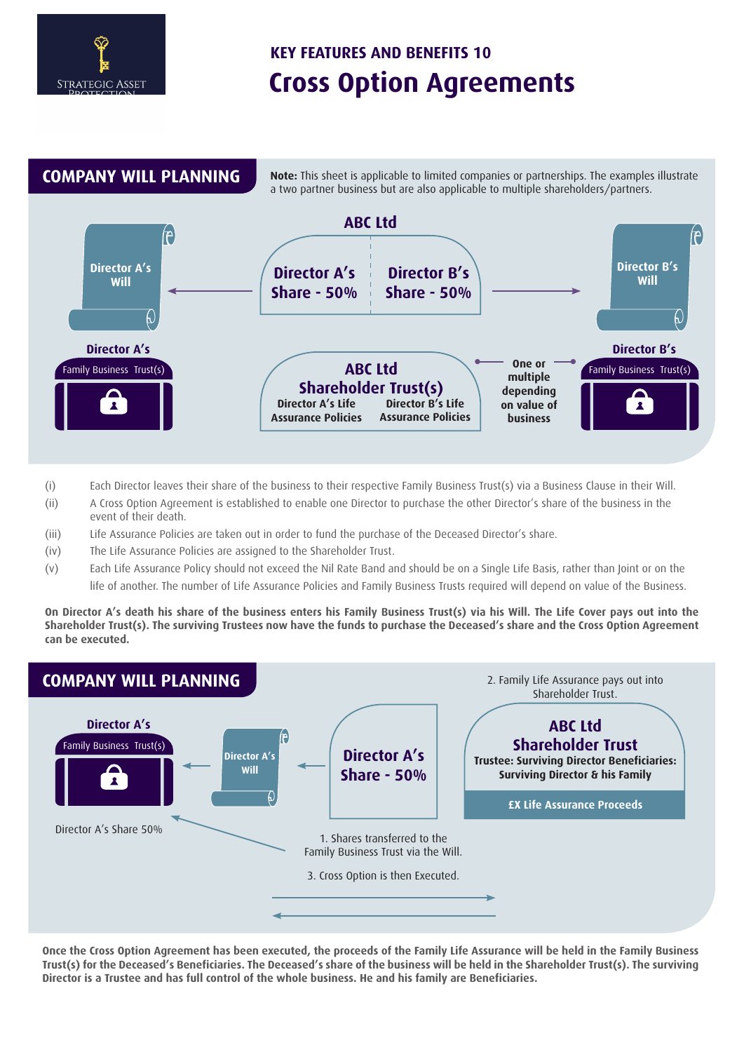# **Cross Option Agreements KEY FEATURES AND BENEFITS 10**





- (i) Each Director leaves their share of the business to their respective Family Business Trust(s) via a Business Clause in their Will.
- (ii) A Cross Option Agreement is established to enable one Director to purchase the other Director's share of the business in the event of their death.
- (iii) Life Assurance Policies are taken out in order to fund the purchase of the Deceased Director's share.
- (iv) The Life Assurance Policies are assigned to the Shareholder Trust.
- (v) Each Life Assurance Policy should not exceed the Nil Rate Band and should be on a Single Life Basis, rather than Joint or on the life of another. The number of Life Assurance Policies and Family Business Trusts required will depend on value of the Business.

**On Director A's death his share of the business enters his Family Business Trust(s) via his Will. The Life Cover pays out into the Shareholder Trust(s). The surviving Trustees now have the funds to purchase the Deceased's share and the Cross Option Agreement can be executed.**



**Once the Cross Option Agreement has been executed, the proceeds of the Family Life Assurance will be held in the Family Business Trust(s) for the Deceased's Beneficiaries. The Deceased's share of the business will be held in the Shareholder Trust(s). The surviving Director is a Trustee and has full control of the whole business. He and his family are Beneficiaries.**